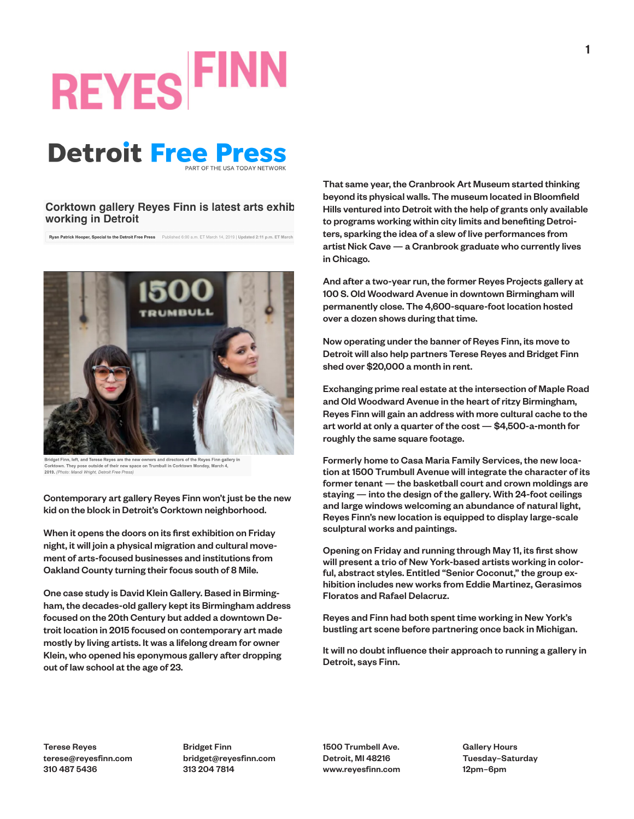# **REYES FIN**

#### **Detroit Free Press**

#### Corktown gallery Reyes Finn is latest arts exhib working in Detroit

Ryan Patrick Hooper, Special to the Detroit Free Press Published 6:00 a.m. ET March 14, 2019 | Updated 2:11 p.m. ET March



Bridget Finn, left, and Terese Reyes are the new owners and directors of the Reyes Finn gallery in vn. They pose outside of their new space on Trumbull in Corktown Monday. March 4. 2019. (Photo: Mandi Wright, Detroit Free Pre

Contemporary art gallery Reyes Finn won't just be the new kid on the block in Detroit's Corktown neighborhood.

When it opens the doors on its first exhibition on Friday night, it will join a physical migration and cultural movement of arts-focused businesses and institutions from Oakland County turning their focus south of 8 Mile.

One case study is David Klein Gallery. Based in Birmingham, the decades-old gallery kept its Birmingham address focused on the 20th Century but added a downtown Detroit location in 2015 focused on contemporary art made mostly by living artists. It was a lifelong dream for owner Klein, who opened his eponymous gallery after dropping out of law school at the age of 23.

That same year, the Cranbrook Art Museum started thinking beyond its physical walls. The museum located in Bloomfield Hills ventured into Detroit with the help of grants only available to programs working within city limits and benefiting Detroiters, sparking the idea of a slew of live performances from artist Nick Cave — a Cranbrook graduate who currently lives in Chicago.

And after a two-year run, the former Reyes Projects gallery at 100 S. Old Woodward Avenue in downtown Birmingham will permanently close. The 4,600-square-foot location hosted over a dozen shows during that time.

Now operating under the banner of Reyes Finn, its move to Detroit will also help partners Terese Reyes and Bridget Finn shed over \$20,000 a month in rent.

Exchanging prime real estate at the intersection of Maple Road and Old Woodward Avenue in the heart of ritzy Birmingham, Reyes Finn will gain an address with more cultural cache to the art world at only a quarter of the cost — \$4,500-a-month for roughly the same square footage.

Formerly home to Casa Maria Family Services, the new location at 1500 Trumbull Avenue will integrate the character of its former tenant — the basketball court and crown moldings are staying — into the design of the gallery. With 24-foot ceilings and large windows welcoming an abundance of natural light, Reyes Finn's new location is equipped to display large-scale sculptural works and paintings.

Opening on Friday and running through May 11, its first show will present a trio of New York-based artists working in colorful, abstract styles. Entitled "Senior Coconut," the group exhibition includes new works from Eddie Martinez, Gerasimos Floratos and Rafael Delacruz.

Reyes and Finn had both spent time working in New York's bustling art scene before partnering once back in Michigan.

It will no doubt influence their approach to running a gallery in Detroit, says Finn.

Terese Reyes terese@reyesfinn.com 310 487 5436

Bridget Finn bridget@reyesfinn.com 313 204 7814

1500 Trumbell Ave. Detroit, MI 48216 www.reyesfinn.com Gallery Hours Tuesday–Saturday 12pm–6pm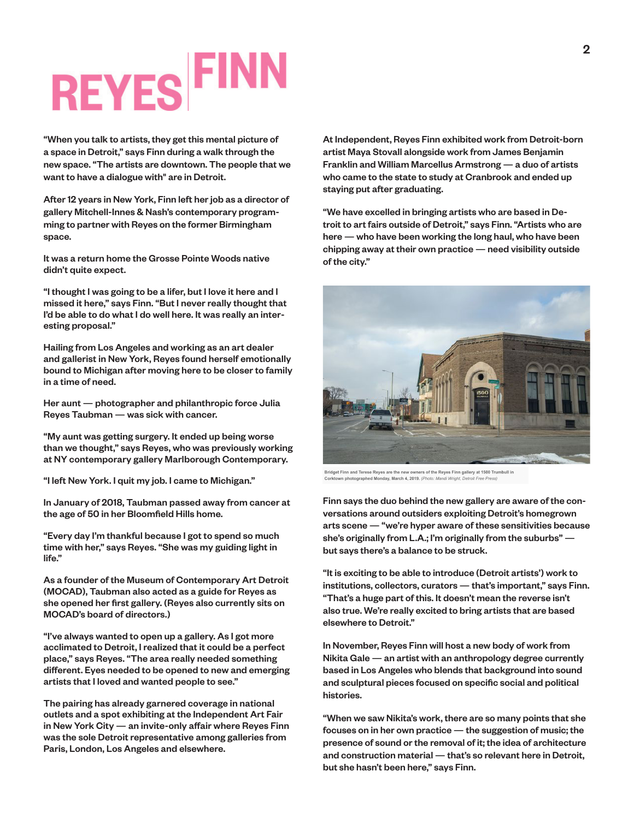## **REYES FIN**

"When you talk to artists, they get this mental picture of a space in Detroit," says Finn during a walk through the new space. "The artists are downtown. The people that we want to have a dialogue with" are in Detroit.

After 12 years in New York, Finn left her job as a director of gallery Mitchell-Innes & Nash's contemporary programming to partner with Reyes on the former Birmingham space.

It was a return home the Grosse Pointe Woods native didn't quite expect.

"I thought I was going to be a lifer, but I love it here and I missed it here," says Finn. "But I never really thought that I'd be able to do what I do well here. It was really an interesting proposal."

Hailing from Los Angeles and working as an art dealer and gallerist in New York, Reyes found herself emotionally bound to Michigan after moving here to be closer to family in a time of need.

Her aunt — photographer and philanthropic force Julia Reyes Taubman — was sick with cancer.

"My aunt was getting surgery. It ended up being worse than we thought," says Reyes, who was previously working at NY contemporary gallery Marlborough Contemporary.

"I left New York. I quit my job. I came to Michigan."

In January of 2018, Taubman passed away from cancer at the age of 50 in her Bloomfield Hills home.

"Every day I'm thankful because I got to spend so much time with her," says Reyes. "She was my guiding light in life."

As a founder of the Museum of Contemporary Art Detroit (MOCAD), Taubman also acted as a guide for Reyes as she opened her first gallery. (Reyes also currently sits on MOCAD's board of directors.)

"I've always wanted to open up a gallery. As I got more acclimated to Detroit, I realized that it could be a perfect place," says Reyes. "The area really needed something different. Eyes needed to be opened to new and emerging artists that I loved and wanted people to see."

The pairing has already garnered coverage in national outlets and a spot exhibiting at the Independent Art Fair in New York City — an invite-only affair where Reyes Finn was the sole Detroit representative among galleries from Paris, London, Los Angeles and elsewhere.

At Independent, Reyes Finn exhibited work from Detroit-born artist Maya Stovall alongside work from James Benjamin Franklin and William Marcellus Armstrong — a duo of artists who came to the state to study at Cranbrook and ended up staying put after graduating.

"We have excelled in bringing artists who are based in Detroit to art fairs outside of Detroit," says Finn. "Artists who are here — who have been working the long haul, who have been chipping away at their own practice — need visibility outside of the city."



Bridget Finn and Terese Reyes are the new of mers of the Reyes Finn gallery at 1500 Trumbull in Corktown photographed Monday, March 4, 2019. (Photo: Mandi Wright,

Finn says the duo behind the new gallery are aware of the conversations around outsiders exploiting Detroit's homegrown arts scene — "we're hyper aware of these sensitivities because she's originally from L.A.; I'm originally from the suburbs" but says there's a balance to be struck.

"It is exciting to be able to introduce (Detroit artists') work to institutions, collectors, curators — that's important," says Finn. "That's a huge part of this. It doesn't mean the reverse isn't also true. We're really excited to bring artists that are based elsewhere to Detroit."

In November, Reyes Finn will host a new body of work from Nikita Gale — an artist with an anthropology degree currently based in Los Angeles who blends that background into sound and sculptural pieces focused on specific social and political histories.

"When we saw Nikita's work, there are so many points that she focuses on in her own practice — the suggestion of music; the presence of sound or the removal of it; the idea of architecture and construction material — that's so relevant here in Detroit, but she hasn't been here," says Finn.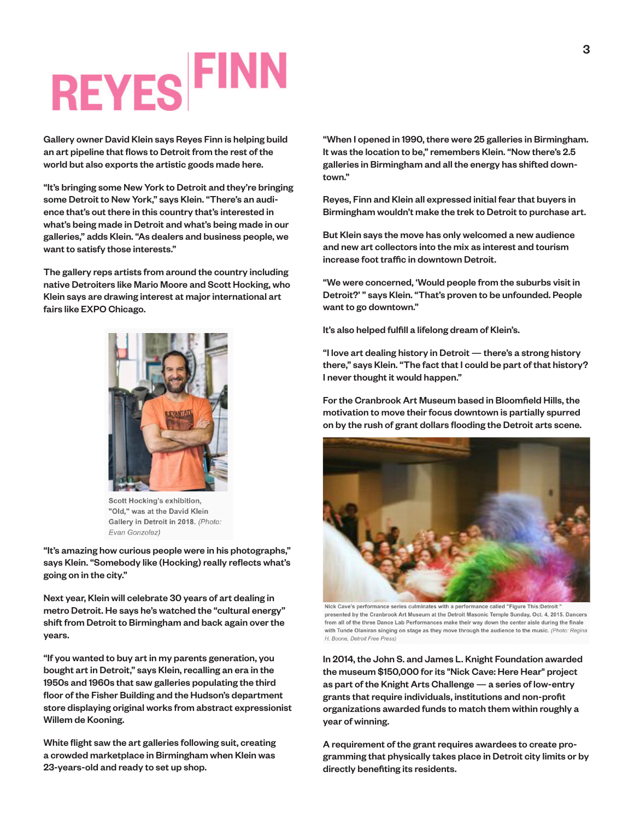## **REYES FIN**

Gallery owner David Klein says Reyes Finn is helping build an art pipeline that flows to Detroit from the rest of the world but also exports the artistic goods made here.

"It's bringing some New York to Detroit and they're bringing some Detroit to New York," says Klein. "There's an audience that's out there in this country that's interested in what's being made in Detroit and what's being made in our galleries," adds Klein. "As dealers and business people, we want to satisfy those interests."

The gallery reps artists from around the country including native Detroiters like Mario Moore and Scott Hocking, who Klein says are drawing interest at major international art fairs like EXPO Chicago.



Scott Hocking's exhibition. "Old," was at the David Klein Gallery in Detroit in 2018. (Photo: Evan Gonzolez)

"It's amazing how curious people were in his photographs," says Klein. "Somebody like (Hocking) really reflects what's going on in the city."

Next year, Klein will celebrate 30 years of art dealing in metro Detroit. He says he's watched the "cultural energy" shift from Detroit to Birmingham and back again over the years.

"If you wanted to buy art in my parents generation, you bought art in Detroit," says Klein, recalling an era in the 1950s and 1960s that saw galleries populating the third floor of the Fisher Building and the Hudson's department store displaying original works from abstract expressionist Willem de Kooning.

White flight saw the art galleries following suit, creating a crowded marketplace in Birmingham when Klein was 23-years-old and ready to set up shop.

"When I opened in 1990, there were 25 galleries in Birmingham. It was the location to be," remembers Klein. "Now there's 2.5 galleries in Birmingham and all the energy has shifted downtown."

Reyes, Finn and Klein all expressed initial fear that buyers in Birmingham wouldn't make the trek to Detroit to purchase art.

But Klein says the move has only welcomed a new audience and new art collectors into the mix as interest and tourism increase foot traffic in downtown Detroit.

"We were concerned, 'Would people from the suburbs visit in Detroit?' " says Klein. "That's proven to be unfounded. People want to go downtown."

It's also helped fulfill a lifelong dream of Klein's.

"I love art dealing history in Detroit — there's a strong history there," says Klein. "The fact that I could be part of that history? I never thought it would happen."

For the Cranbrook Art Museum based in Bloomfield Hills, the motivation to move their focus downtown is partially spurred on by the rush of grant dollars flooding the Detroit arts scene.



Nick Cave's performance series culminates with a performance called "Figure This:Detroit presented by the Cranbrook Art Museum at the Detroit Masonic Temple Sunday, Oct. 4, 2015. Dancers from all of the three Dance Lab Performances make their way down the center aisle during the fina with Tunde Olaniran singing on stage as they move through the audience to the music. (Photo: Regina H. Boone, Detroit Free Press)

In 2014, the John S. and James L. Knight Foundation awarded the museum \$150,000 for its "Nick Cave: Here Hear" project as part of the Knight Arts Challenge — a series of low-entry grants that require individuals, institutions and non-profit organizations awarded funds to match them within roughly a year of winning.

A requirement of the grant requires awardees to create programming that physically takes place in Detroit city limits or by directly benefiting its residents.